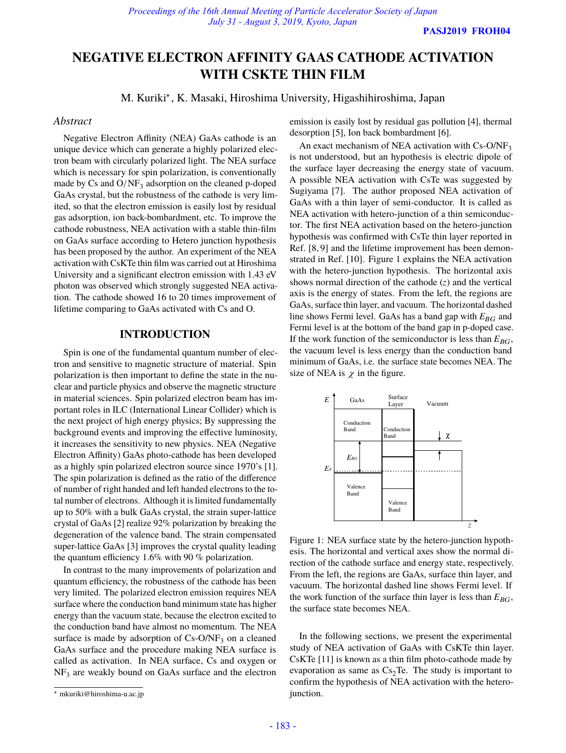# **NEGATIVE ELECTRON AFFINITY GAAS CATHODE ACTIVATION WITH CSKTE THIN FILM**

M. Kuriki<sup>∗</sup> , K. Masaki, Hiroshima University, Higashihiroshima, Japan

## *Abstract*

Negative Electron Affinity (NEA) GaAs cathode is an unique device which can generate a highly polarized electron beam with circularly polarized light. The NEA surface which is necessary for spin polarization, is conventionally made by  $Cs$  and  $O/NF_3$  adsorption on the cleaned p-doped GaAs crystal, but the robustness of the cathode is very limited, so that the electron emission is easily lost by residual gas adsorption, ion back-bombardment, etc. To improve the cathode robustness, NEA activation with a stable thin-film on GaAs surface according to Hetero junction hypothesis has been proposed by the author. An experiment of the NEA activation with CsKTe thin film was carried out at Hiroshima University and a significant electron emission with 1.43 eV photon was observed which strongly suggested NEA activation. The cathode showed 16 to 20 times improvement of lifetime comparing to GaAs activated with Cs and O.

## **INTRODUCTION**

Spin is one of the fundamental quantum number of electron and sensitive to magnetic structure of material. Spin polarization is then important to define the state in the nuclear and particle physics and observe the magnetic structure in material sciences. Spin polarized electron beam has important roles in ILC (International Linear Collider) which is the next project of high energy physics; By suppressing the background events and improving the effective luminosity, it increases the sensitivity to new physics. NEA (Negative Electron Affinity) GaAs photo-cathode has been developed as a highly spin polarized electron source since 1970's [1]. The spin polarization is defined as the ratio of the difference of number of right handed and left handed electrons to the total number of electrons. Although it is limited fundamentally up to 50% with a bulk GaAs crystal, the strain super-lattice crystal of GaAs [2] realize 92% polarization by breaking the degeneration of the valence band. The strain compensated super-lattice GaAs [3] improves the crystal quality leading the quantum efficiency 1.6% with 90 % polarization.

In contrast to the many improvements of polarization and quantum efficiency, the robustness of the cathode has been very limited. The polarized electron emission requires NEA surface where the conduction band minimum state has higher energy than the vacuum state, because the electron excited to the conduction band have almost no momentum. The NEA surface is made by adsorption of  $Cs-O/NF_3$  on a cleaned GaAs surface and the procedure making NEA surface is called as activation. In NEA surface, Cs and oxygen or NF<sub>3</sub> are weakly bound on GaAs surface and the electron

emission is easily lost by residual gas pollution [4], thermal desorption [5], Ion back bombardment [6].

An exact mechanism of NEA activation with Cs-O/NF<sub>3</sub> is not understood, but an hypothesis is electric dipole of the surface layer decreasing the energy state of vacuum. A possible NEA activation with CsTe was suggested by Sugiyama [7]. The author proposed NEA activation of GaAs with a thin layer of semi-conductor. It is called as NEA activation with hetero-junction of a thin semiconductor. The first NEA activation based on the hetero-junction hypothesis was confirmed with CsTe thin layer reported in Ref. [8, 9] and the lifetime improvement has been demonstrated in Ref. [10]. Figure 1 explains the NEA activation with the hetero-junction hypothesis. The horizontal axis shows normal direction of the cathode  $(z)$  and the vertical axis is the energy of states. From the left, the regions are GaAs, surface thin layer, and vacuum. The horizontal dashed line shows Fermi level. GaAs has a band gap with  $E_{BG}$  and Fermi level is at the bottom of the band gap in p-doped case. If the work function of the semiconductor is less than  $E_{BG}$ , the vacuum level is less energy than the conduction band minimum of GaAs, i.e. the surface state becomes NEA. The size of NEA is  $\chi$  in the figure.



Figure 1: NEA surface state by the hetero-junction hypothesis. The horizontal and vertical axes show the normal direction of the cathode surface and energy state, respectively. From the left, the regions are GaAs, surface thin layer, and vacuum. The horizontal dashed line shows Fermi level. If the work function of the surface thin layer is less than  $E_{BG}$ , the surface state becomes NEA.

In the following sections, we present the experimental study of NEA activation of GaAs with CsKTe thin layer. CsKTe [11] is known as a thin film photo-cathode made by evaporation as same as  $Cs<sub>2</sub>Te$ . The study is important to confirm the hypothesis of NEA activation with the heterojunction.

<sup>∗</sup> mkuriki@hiroshima-u.ac.jp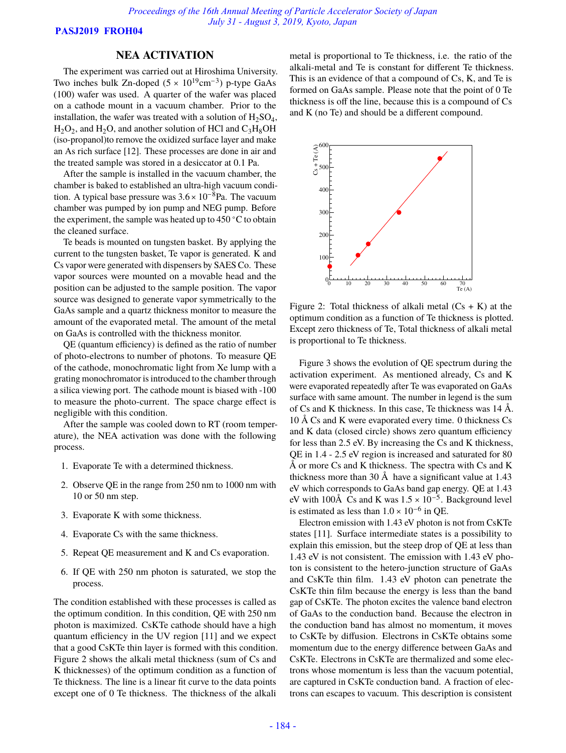**PASJ2019 FROH04**

#### **NEA ACTIVATION**

The experiment was carried out at Hiroshima University. Two inches bulk Zn-doped  $(5 \times 10^{19} \text{cm}^{-3})$  p-type GaAs (100) wafer was used. A quarter of the wafer was placed on a cathode mount in a vacuum chamber. Prior to the installation, the wafer was treated with a solution of  $H_2SO_4$ ,  $H_2O_2$ , and  $H_2O$ , and another solution of HCl and  $C_3H_8OH$ (iso-propanol)to remove the oxidized surface layer and make an As rich surface [12]. These processes are done in air and the treated sample was stored in a desiccator at 0.1 Pa.

After the sample is installed in the vacuum chamber, the chamber is baked to established an ultra-high vacuum condition. A typical base pressure was  $3.6 \times 10^{-8}$ Pa. The vacuum chamber was pumped by ion pump and NEG pump. Before the experiment, the sample was heated up to 450 <sup>∘</sup>C to obtain the cleaned surface.

Te beads is mounted on tungsten basket. By applying the current to the tungsten basket, Te vapor is generated. K and Cs vapor were generated with dispensers by SAES Co. These vapor sources were mounted on a movable head and the position can be adjusted to the sample position. The vapor source was designed to generate vapor symmetrically to the GaAs sample and a quartz thickness monitor to measure the amount of the evaporated metal. The amount of the metal on GaAs is controlled with the thickness monitor.

QE (quantum efficiency) is defined as the ratio of number of photo-electrons to number of photons. To measure QE of the cathode, monochromatic light from Xe lump with a grating monochromator is introduced to the chamber through a silica viewing port. The cathode mount is biased with -100 to measure the photo-current. The space charge effect is negligible with this condition.

After the sample was cooled down to RT (room temperature), the NEA activation was done with the following process.

- 1. Evaporate Te with a determined thickness.
- 2. Observe QE in the range from 250 nm to 1000 nm with 10 or 50 nm step.
- 3. Evaporate K with some thickness.
- 4. Evaporate Cs with the same thickness.
- 5. Repeat QE measurement and K and Cs evaporation.
- 6. If QE with 250 nm photon is saturated, we stop the process.

The condition established with these processes is called as the optimum condition. In this condition, QE with 250 nm photon is maximized. CsKTe cathode should have a high quantum efficiency in the UV region [11] and we expect that a good CsKTe thin layer is formed with this condition. Figure 2 shows the alkali metal thickness (sum of Cs and K thicknesses) of the optimum condition as a function of Te thickness. The line is a linear fit curve to the data points except one of 0 Te thickness. The thickness of the alkali

metal is proportional to Te thickness, i.e. the ratio of the alkali-metal and Te is constant for different Te thickness. This is an evidence of that a compound of Cs, K, and Te is formed on GaAs sample. Please note that the point of 0 Te thickness is off the line, because this is a compound of Cs and K (no Te) and should be a different compound.



Figure 2: Total thickness of alkali metal  $(Cs + K)$  at the optimum condition as a function of Te thickness is plotted. Except zero thickness of Te, Total thickness of alkali metal is proportional to Te thickness.

Figure 3 shows the evolution of QE spectrum during the activation experiment. As mentioned already, Cs and K were evaporated repeatedly after Te was evaporated on GaAs surface with same amount. The number in legend is the sum of Cs and K thickness. In this case, Te thickness was 14 Å. 10 Å Cs and K were evaporated every time. 0 thickness Cs and K data (closed circle) shows zero quantum efficiency for less than 2.5 eV. By increasing the Cs and K thickness, QE in 1.4 - 2.5 eV region is increased and saturated for 80 Å or more Cs and K thickness. The spectra with Cs and K thickness more than 30 Å have a significant value at 1.43 eV which corresponds to GaAs band gap energy. QE at 1.43 eV with 100Å Cs and K was  $1.5 \times 10^{-5}$ . Background level is estimated as less than  $1.0 \times 10^{-6}$  in QE.

Electron emission with 1.43 eV photon is not from CsKTe states [11]. Surface intermediate states is a possibility to explain this emission, but the steep drop of QE at less than 1.43 eV is not consistent. The emission with 1.43 eV photon is consistent to the hetero-junction structure of GaAs and CsKTe thin film. 1.43 eV photon can penetrate the CsKTe thin film because the energy is less than the band gap of CsKTe. The photon excites the valence band electron of GaAs to the conduction band. Because the electron in the conduction band has almost no momentum, it moves to CsKTe by diffusion. Electrons in CsKTe obtains some momentum due to the energy difference between GaAs and CsKTe. Electrons in CsKTe are thermalized and some electrons whose momentum is less than the vacuum potential, are captured in CsKTe conduction band. A fraction of electrons can escapes to vacuum. This description is consistent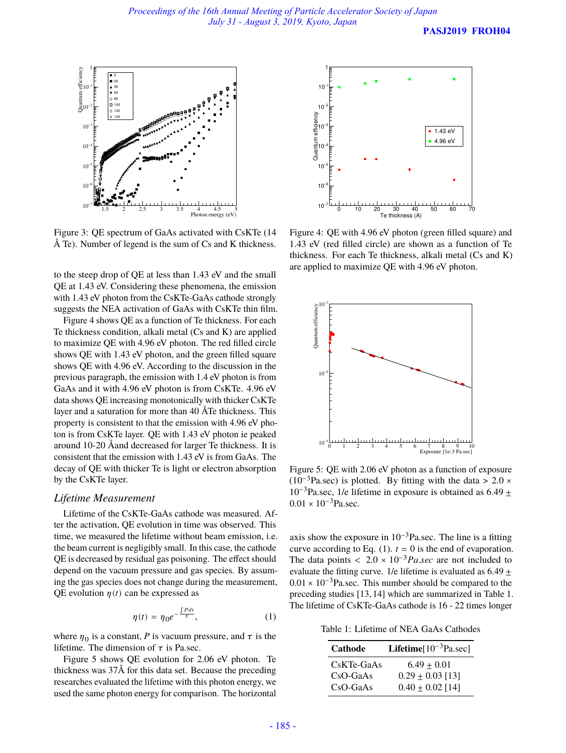

Figure 3: QE spectrum of GaAs activated with CsKTe (14 Å Te). Number of legend is the sum of Cs and K thickness.

to the steep drop of QE at less than 1.43 eV and the small QE at 1.43 eV. Considering these phenomena, the emission with 1.43 eV photon from the CsKTe-GaAs cathode strongly suggests the NEA activation of GaAs with CsKTe thin film.

Figure 4 shows QE as a function of Te thickness. For each Te thickness condition, alkali metal (Cs and K) are applied to maximize QE with 4.96 eV photon. The red filled circle shows QE with 1.43 eV photon, and the green filled square shows QE with 4.96 eV. According to the discussion in the previous paragraph, the emission with 1.4 eV photon is from GaAs and it with 4.96 eV photon is from CsKTe. 4.96 eV data shows QE increasing monotonically with thicker CsKTe layer and a saturation for more than 40 ÅTe thickness. This property is consistent to that the emission with 4.96 eV photon is from CsKTe layer. QE with 1.43 eV photon ie peaked around 10-20 Åand decreased for larger Te thickness. It is consistent that the emission with 1.43 eV is from GaAs. The decay of QE with thicker Te is light or electron absorption by the CsKTe layer.

## *Lifetime Measurement*

Lifetime of the CsKTe-GaAs cathode was measured. After the activation, QE evolution in time was observed. This time, we measured the lifetime without beam emission, i.e. the beam current is negligibly small. In this case, the cathode QE is decreased by residual gas poisoning. The effect should depend on the vacuum pressure and gas species. By assuming the gas species does not change during the measurement, QE evolution  $\eta(t)$  can be expressed as

$$
\eta(t) = \eta_0 e^{-\frac{\int P dt}{\tau}},\tag{1}
$$

where  $\eta_0$  is a constant, P is vacuum pressure, and  $\tau$  is the lifetime. The dimension of  $\tau$  is Pa.sec.

Figure 5 shows QE evolution for 2.06 eV photon. Te thickness was 37Å for this data set. Because the preceding researches evaluated the lifetime with this photon energy, we used the same photon energy for comparison. The horizontal



Figure 4: QE with 4.96 eV photon (green filled square) and 1.43 eV (red filled circle) are shown as a function of Te thickness. For each Te thickness, alkali metal (Cs and K) are applied to maximize QE with 4.96 eV photon.



Figure 5: QE with 2.06 eV photon as a function of exposure  $(10^{-3}$ Pa.sec) is plotted. By fitting with the data > 2.0 ×  $10^{-3}$ Pa.sec, 1/e lifetime in exposure is obtained as 6.49 ±  $0.01 \times 10^{-3}$ Pa.sec.

axis show the exposure in 10−3Pa.sec. The line is a fitting curve according to Eq. (1).  $t = 0$  is the end of evaporation. The data points <  $2.0 \times 10^{-3}$ Pa.sec are not included to evaluate the fitting curve. 1/e lifetime is evaluated as  $6.49 \pm$  $0.01 \times 10^{-3}$ Pa.sec. This number should be compared to the preceding studies [13, 14] which are summarized in Table 1. The lifetime of CsKTe-GaAs cathode is 16 - 22 times longer

Table 1: Lifetime of NEA GaAs Cathodes

| Cathode    | Lifetime $[10^{-3}$ Pa.sec] |
|------------|-----------------------------|
| CsKTe-GaAs | $6.49 + 0.01$               |
| $CsO-GaAs$ | $0.29 \pm 0.03$ [13]        |
| CsO-GaAs   | $0.40 \pm 0.02$ [14]        |